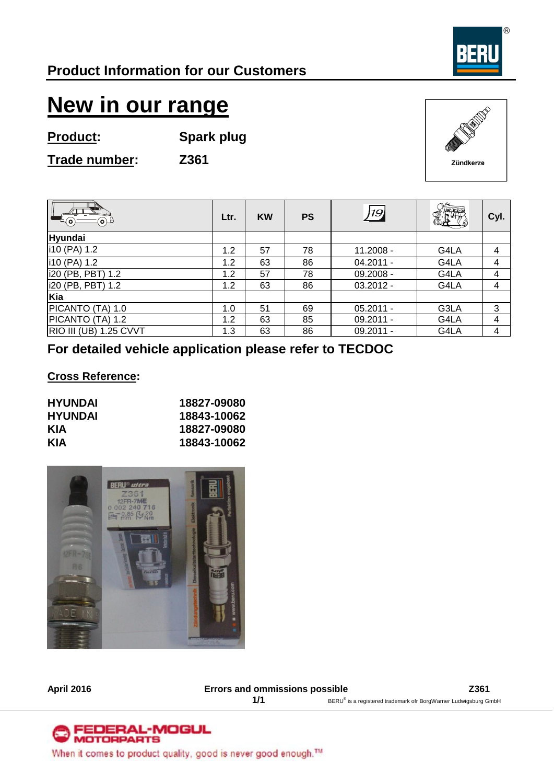

# **New in our range**

**Product: Spark plug**

**Trade number: Z361**



| $\Theta(\bullet)$      | Ltr. | <b>KW</b> | <b>PS</b> | 19          | PQQQ | Cyl. |
|------------------------|------|-----------|-----------|-------------|------|------|
| Hyundai                |      |           |           |             |      |      |
| i10 (PA) 1.2           | 1.2  | 57        | 78        | 11.2008 -   | G4LA | 4    |
| i10 (PA) 1.2           | 1.2  | 63        | 86        | $04.2011 -$ | G4LA | 4    |
| i20 (PB, PBT) 1.2      | 1.2  | 57        | 78        | 09.2008 -   | G4LA | 4    |
| i20 (PB, PBT) 1.2      | 1.2  | 63        | 86        | $03.2012 -$ | G4LA | 4    |
| Kia                    |      |           |           |             |      |      |
| PICANTO (TA) 1.0       | 1.0  | 51        | 69        | $05.2011 -$ | G3LA | 3    |
| PICANTO (TA) 1.2       | 1.2  | 63        | 85        | $09.2011 -$ | G4LA | 4    |
| RIO III (UB) 1.25 CVVT | 1.3  | 63        | 86        | 09.2011 -   | G4LA | 4    |

### **For detailed vehicle application please refer to TECDOC**

#### **Cross Reference:**

| <b>HYUNDAI</b> | 18827-09080 |
|----------------|-------------|
| <b>HYUNDAI</b> | 18843-10062 |
| KIA            | 18827-09080 |
| KIA            | 18843-10062 |



**April 2016 Errors and ommissions possible Z361**

1/1 BERU® is a registered trademark ofr BorgWarner Ludwigsburg GmbH

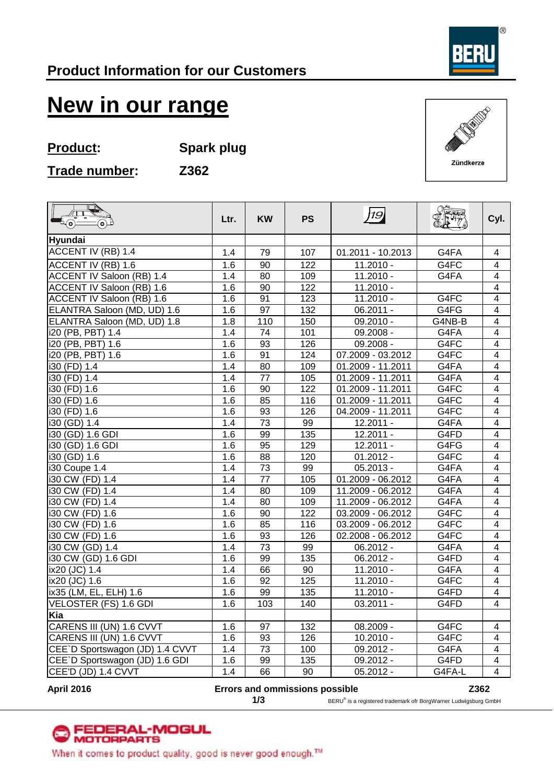

## **New in our range**

**Product: Spark plug**

**Trade number: Z362**

Zündkerze

| Q<br>$\sqrt{1}$<br>$\mathbb{L}_{(\mathsf{o})}$<br>$\oplus$ | Ltr. | <b>KW</b>       | <b>PS</b>        | 19                  | $\sqrt{\frac{1}{1 + \frac{1}{1 + \frac{1}{1 + \frac{1}{1 + \frac{1}{1 + \frac{1}{1 + \frac{1}{1 + \frac{1}{1 + \frac{1}{1 + \frac{1}{1 + \frac{1}{1 + \frac{1}{1 + \frac{1}{1 + \frac{1}{1 + \frac{1}{1 + \frac{1}{1 + \frac{1}{1 + \frac{1}{1 + \frac{1}{1 + \frac{1}{1 + \frac{1}{1 + \frac{1}{1 + \frac{1}{1 + \frac{1}{1 + \frac{1}{1 + \frac{1}{1 + \frac{1}{1 + \frac{1}{1 + \frac{1}{1 + \frac{1}{1 + \frac{1}{1 + \$ | Cyl.                    |
|------------------------------------------------------------|------|-----------------|------------------|---------------------|------------------------------------------------------------------------------------------------------------------------------------------------------------------------------------------------------------------------------------------------------------------------------------------------------------------------------------------------------------------------------------------------------------------------------|-------------------------|
| Hyundai                                                    |      |                 |                  |                     |                                                                                                                                                                                                                                                                                                                                                                                                                              |                         |
| ACCENT IV (RB) 1.4                                         | 1.4  | 79              | 107              | 01.2011 - 10.2013   | G4FA                                                                                                                                                                                                                                                                                                                                                                                                                         | 4                       |
| ACCENT IV (RB) 1.6                                         | 1.6  | 90              | 122              | $11.2010 -$         | G4FC                                                                                                                                                                                                                                                                                                                                                                                                                         | $\overline{\mathbf{4}}$ |
| ACCENT IV Saloon (RB) 1.4                                  | 1.4  | 80              | 109              | $11.2010 -$         | G4FA                                                                                                                                                                                                                                                                                                                                                                                                                         | $\overline{\mathbf{4}}$ |
| ACCENT IV Saloon (RB) 1.6                                  | 1.6  | 90              | 122              | $11.2010 -$         |                                                                                                                                                                                                                                                                                                                                                                                                                              | $\overline{\mathbf{4}}$ |
| ACCENT IV Saloon (RB) 1.6                                  | 1.6  | 91              | 123              | $11.2010 -$         | G4FC                                                                                                                                                                                                                                                                                                                                                                                                                         | $\overline{\mathbf{4}}$ |
| ELANTRA Saloon (MD, UD) 1.6                                | 1.6  | 97              | 132              | $06.2011 -$         | G4FG                                                                                                                                                                                                                                                                                                                                                                                                                         | $\overline{\mathbf{4}}$ |
| ELANTRA Saloon (MD, UD) 1.8                                | 1.8  | 110             | 150              | $09.2010 -$         | G4NB-B                                                                                                                                                                                                                                                                                                                                                                                                                       | $\overline{4}$          |
| i20 (PB, PBT) 1.4                                          | 1.4  | 74              | 101              | 09.2008 -           | G4FA                                                                                                                                                                                                                                                                                                                                                                                                                         | $\overline{\mathbf{4}}$ |
| i20 (PB, PBT) 1.6                                          | 1.6  | 93              | 126              | 09.2008 -           | G4FC                                                                                                                                                                                                                                                                                                                                                                                                                         | $\overline{\mathbf{4}}$ |
| i20 (PB, PBT) 1.6                                          | 1.6  | 91              | 124              | 07.2009 - 03.2012   | G4FC                                                                                                                                                                                                                                                                                                                                                                                                                         | $\overline{4}$          |
| i30 (FD) 1.4                                               | 1.4  | 80              | 109              | 01.2009 - 11.2011   | G4FA                                                                                                                                                                                                                                                                                                                                                                                                                         | $\overline{\mathbf{4}}$ |
| i30 (FD) 1.4                                               | 1.4  | 77              | 105              | 01.2009 - 11.2011   | G4FA                                                                                                                                                                                                                                                                                                                                                                                                                         | $\overline{4}$          |
| i30 (FD) 1.6                                               | 1.6  | 90              | $\overline{122}$ | 01.2009 - 11.2011   | G4FC                                                                                                                                                                                                                                                                                                                                                                                                                         | $\overline{4}$          |
| i30 (FD) 1.6                                               | 1.6  | 85              | 116              | 01.2009 - 11.2011   | G4FC                                                                                                                                                                                                                                                                                                                                                                                                                         | $\overline{\mathbf{4}}$ |
| i30 (FD) 1.6                                               | 1.6  | 93              | 126              | 04.2009 - 11.2011   | G4FC                                                                                                                                                                                                                                                                                                                                                                                                                         | $\overline{4}$          |
| i30 (GD) 1.4                                               | 1.4  | $\overline{73}$ | 99               | $12.2011 -$         | G4FA                                                                                                                                                                                                                                                                                                                                                                                                                         | $\overline{\mathbf{4}}$ |
| i30 (GD) 1.6 GDI                                           | 1.6  | 99              | 135              | $12.2011 -$         | G4FD                                                                                                                                                                                                                                                                                                                                                                                                                         | $\overline{\mathbf{4}}$ |
| i30 (GD) 1.6 GDI                                           | 1.6  | 95              | 129              | $12.2011 -$         | G4FG                                                                                                                                                                                                                                                                                                                                                                                                                         | $\overline{\mathbf{4}}$ |
| i30 (GD) 1.6                                               | 1.6  | $\overline{88}$ | 120              | $01.2012 -$         | G4FC                                                                                                                                                                                                                                                                                                                                                                                                                         | $\overline{4}$          |
| i30 Coupe 1.4                                              | 1.4  | 73              | 99               | $05.2013 -$         | G4FA                                                                                                                                                                                                                                                                                                                                                                                                                         | $\overline{\mathbf{4}}$ |
| i30 CW (FD) 1.4                                            | 1.4  | 77              | 105              | 01.2009 - 06.2012   | G4FA                                                                                                                                                                                                                                                                                                                                                                                                                         | $\overline{\mathbf{4}}$ |
| i30 CW (FD) 1.4                                            | 1.4  | 80              | 109              | $11.2009 - 06.2012$ | G4FA                                                                                                                                                                                                                                                                                                                                                                                                                         | $\overline{4}$          |
| i30 CW (FD) 1.4                                            | 1.4  | 80              | 109              | 11.2009 - 06.2012   | G4FA                                                                                                                                                                                                                                                                                                                                                                                                                         | $\overline{4}$          |
| i30 CW (FD) 1.6                                            | 1.6  | 90              | 122              | 03.2009 - 06.2012   | G4FC                                                                                                                                                                                                                                                                                                                                                                                                                         | $\overline{\mathbf{4}}$ |
| i30 CW (FD) 1.6                                            | 1.6  | 85              | 116              | 03.2009 - 06.2012   | G4FC                                                                                                                                                                                                                                                                                                                                                                                                                         | $\overline{4}$          |
| i30 CW (FD) 1.6                                            | 1.6  | 93              | 126              | 02.2008 - 06.2012   | G4FC                                                                                                                                                                                                                                                                                                                                                                                                                         | $\overline{\mathbf{4}}$ |
| i30 CW (GD) 1.4                                            | 1.4  | 73              | 99               | $06.2012 -$         | G4FA                                                                                                                                                                                                                                                                                                                                                                                                                         | $\overline{4}$          |
| i30 CW (GD) 1.6 GDI                                        | 1.6  | 99              | 135              | $06.2012 -$         | G4FD                                                                                                                                                                                                                                                                                                                                                                                                                         | $\overline{4}$          |
| ix20 (JC) 1.4                                              | 1.4  | 66              | 90               | $11.2010 -$         | G4FA                                                                                                                                                                                                                                                                                                                                                                                                                         | 4                       |
| ix20 (JC) 1.6                                              | 1.6  | 92              | 125              | $11.2010 -$         | G4FC                                                                                                                                                                                                                                                                                                                                                                                                                         | $\overline{\mathbf{4}}$ |
| ix35 (LM, EL, ELH) 1.6                                     | 1.6  | 99              | $\overline{135}$ | $11.2010 -$         | G4FD                                                                                                                                                                                                                                                                                                                                                                                                                         | $\overline{4}$          |
| VELOSTER (FS) 1.6 GDI                                      | 1.6  | 103             | 140              | $03.2011 -$         | G4FD                                                                                                                                                                                                                                                                                                                                                                                                                         | $\overline{4}$          |
| Kia                                                        |      |                 |                  |                     |                                                                                                                                                                                                                                                                                                                                                                                                                              |                         |
| CARENS III (UN) 1.6 CVVT                                   | 1.6  | 97              | 132              | 08.2009 -           | G4FC                                                                                                                                                                                                                                                                                                                                                                                                                         | $\overline{4}$          |
| CARENS III (UN) 1.6 CVVT                                   | 1.6  | 93              | 126              | $10.2010 -$         | G4FC                                                                                                                                                                                                                                                                                                                                                                                                                         | $\overline{4}$          |
| CEE'D Sportswagon (JD) 1.4 CVVT                            | 1.4  | 73              | 100              | $09.2012 -$         | G4FA                                                                                                                                                                                                                                                                                                                                                                                                                         | $\overline{4}$          |
| CEE`D Sportswagon (JD) 1.6 GDI                             | 1.6  | 99              | 135              | 09.2012 -           | G4FD                                                                                                                                                                                                                                                                                                                                                                                                                         | $\overline{4}$          |
| CEE'D (JD) 1.4 CVVT                                        | 1.4  | 66              | 90               | $05.2012 -$         | G4FA-L                                                                                                                                                                                                                                                                                                                                                                                                                       | $\overline{4}$          |

#### **April 2016 Errors and ommissions possible Z362**

**1/3** BERU® is a registered trademark ofr BorgWarner Ludwigsburg GmbH



When it comes to product quality, good is never good enough.™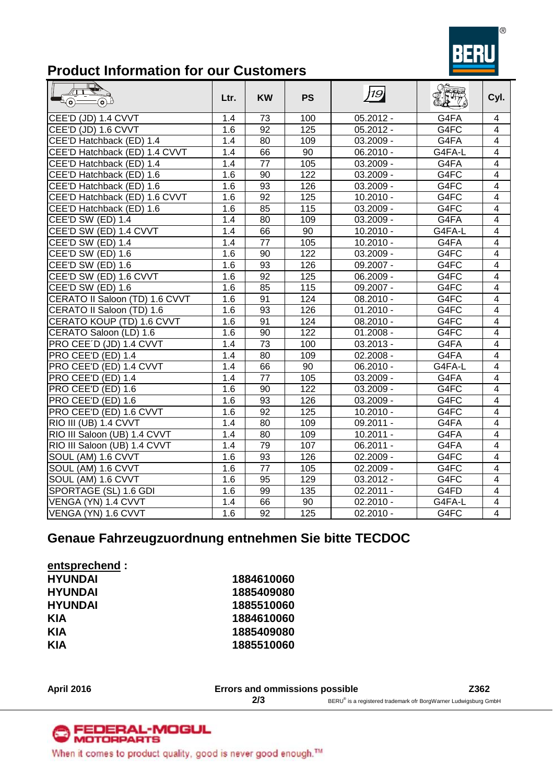

## **Product Information for our Customers**

| $\Theta$<br>(o)                | Ltr. | <b>KW</b> | <b>PS</b> | 19          | 2.77   | Cyl.                    |
|--------------------------------|------|-----------|-----------|-------------|--------|-------------------------|
| CEE'D (JD) 1.4 CVVT            | 1.4  | 73        | 100       | $05.2012 -$ | G4FA   | 4                       |
| CEE'D (JD) 1.6 CVVT            | 1.6  | 92        | 125       | $05.2012 -$ | G4FC   | $\overline{\mathbf{4}}$ |
| CEE'D Hatchback (ED) 1.4       | 1.4  | 80        | 109       | $03.2009 -$ | G4FA   | $\overline{\mathbf{4}}$ |
| CEE'D Hatchback (ED) 1.4 CVVT  | 1.4  | 66        | 90        | $06.2010 -$ | G4FA-L | $\overline{\mathbf{4}}$ |
| CEE'D Hatchback (ED) 1.4       | 1.4  | 77        | 105       | $03.2009 -$ | G4FA   | $\overline{\mathbf{4}}$ |
| CEE'D Hatchback (ED) 1.6       | 1.6  | 90        | 122       | $03.2009 -$ | G4FC   | $\overline{\mathbf{4}}$ |
| CEE'D Hatchback (ED) 1.6       | 1.6  | 93        | 126       | $03.2009 -$ | G4FC   | 4                       |
| CEE'D Hatchback (ED) 1.6 CVVT  | 1.6  | 92        | 125       | $10.2010 -$ | G4FC   | 4                       |
| CEE'D Hatchback (ED) 1.6       | 1.6  | 85        | 115       | 03.2009 -   | G4FC   | $\overline{4}$          |
| CEE'D SW (ED) 1.4              | 1.4  | 80        | 109       | $03.2009 -$ | G4FA   | $\overline{\mathbf{4}}$ |
| CEE'D SW (ED) 1.4 CVVT         | 1.4  | 66        | 90        | $10.2010 -$ | G4FA-L | $\overline{4}$          |
| CEE'D SW (ED) 1.4              | 1.4  | 77        | 105       | $10.2010 -$ | G4FA   | $\overline{4}$          |
| <b>CEE'D SW (ED) 1.6</b>       | 1.6  | 90        | 122       | $03.2009 -$ | G4FC   | $\overline{\mathbf{4}}$ |
| CEE'D SW (ED) 1.6              | 1.6  | 93        | 126       | 09.2007 -   | G4FC   | $\overline{\mathbf{4}}$ |
| CEE'D SW (ED) 1.6 CVVT         | 1.6  | 92        | 125       | $06.2009 -$ | G4FC   | $\overline{\mathbf{4}}$ |
| CEE'D SW (ED) 1.6              | 1.6  | 85        | 115       | 09.2007 -   | G4FC   | $\overline{\mathbf{4}}$ |
| CERATO II Saloon (TD) 1.6 CVVT | 1.6  | 91        | 124       | $08.2010 -$ | G4FC   | $\overline{\mathbf{4}}$ |
| CERATO II Saloon (TD) 1.6      | 1.6  | 93        | 126       | $01.2010 -$ | G4FC   | 4                       |
| CERATO KOUP (TD) 1.6 CVVT      | 1.6  | 91        | 124       | $08.2010 -$ | G4FC   | $\overline{\mathbf{4}}$ |
| CERATO Saloon (LD) 1.6         | 1.6  | 90        | 122       | $01.2008 -$ | G4FC   | $\overline{4}$          |
| PRO CEE'D (JD) 1.4 CVVT        | 1.4  | 73        | 100       | $03.2013 -$ | G4FA   | $\overline{\mathbf{4}}$ |
| PRO CEE'D (ED) 1.4             | 1.4  | 80        | 109       | $02.2008 -$ | G4FA   | $\overline{\mathbf{4}}$ |
| PRO CEE'D (ED) 1.4 CVVT        | 1.4  | 66        | 90        | $06.2010 -$ | G4FA-L | $\overline{4}$          |
| PRO CEE'D (ED) 1.4             | 1.4  | 77        | 105       | 03.2009 -   | G4FA   | $\overline{\mathbf{4}}$ |
| PRO CEE'D (ED) 1.6             | 1.6  | 90        | 122       | 03.2009 -   | G4FC   | $\overline{\mathbf{4}}$ |
| PRO CEE'D (ED) 1.6             | 1.6  | 93        | 126       | $03.2009 -$ | G4FC   | $\overline{\mathbf{4}}$ |
| PRO CEE'D (ED) 1.6 CVVT        | 1.6  | 92        | 125       | $10.2010 -$ | G4FC   | $\overline{\mathbf{4}}$ |
| RIO III (UB) 1.4 CVVT          | 1.4  | 80        | 109       | 09.2011 -   | G4FA   | $\overline{\mathbf{4}}$ |
| RIO III Saloon (UB) 1.4 CVVT   | 1.4  | 80        | 109       | $10.2011 -$ | G4FA   | $\overline{\mathbf{4}}$ |
| RIO III Saloon (UB) 1.4 CVVT   | 1.4  | 79        | 107       | $06.2011 -$ | G4FA   | 4                       |
| SOUL (AM) 1.6 CVVT             | 1.6  | 93        | 126       | $02.2009 -$ | G4FC   | $\overline{4}$          |
| SOUL (AM) 1.6 CVVT             | 1.6  | 77        | 105       | $02.2009 -$ | G4FC   | $\overline{\mathbf{4}}$ |
| SOUL (AM) 1.6 CVVT             | 1.6  | 95        | 129       | $03.2012 -$ | G4FC   | $\overline{\mathbf{4}}$ |
| SPORTAGE (SL) 1.6 GDI          | 1.6  | 99        | 135       | $02.2011 -$ | G4FD   | $\overline{4}$          |
| VENGA (YN) 1.4 CVVT            | 1.4  | 66        | 90        | $02.2010 -$ | G4FA-L | $\overline{\mathbf{4}}$ |
| VENGA (YN) 1.6 CVVT            | 1.6  | 92        | 125       | $02.2010 -$ | G4FC   | $\overline{\mathbf{4}}$ |

### **Genaue Fahrzeugzuordnung entnehmen Sie bitte TECDOC**

**entsprechend : HYUNDAI 1884610060 HYUNDAI 1885409080 HYUNDAI 1885510060 KIA 1884610060 KIA 1885409080**

**KIA 1885510060**

#### **April 2016 Errors and ommissions possible Z362 2/3** BERU® is a registered trademark ofr BorgWarner Ludwigsburg GmbH